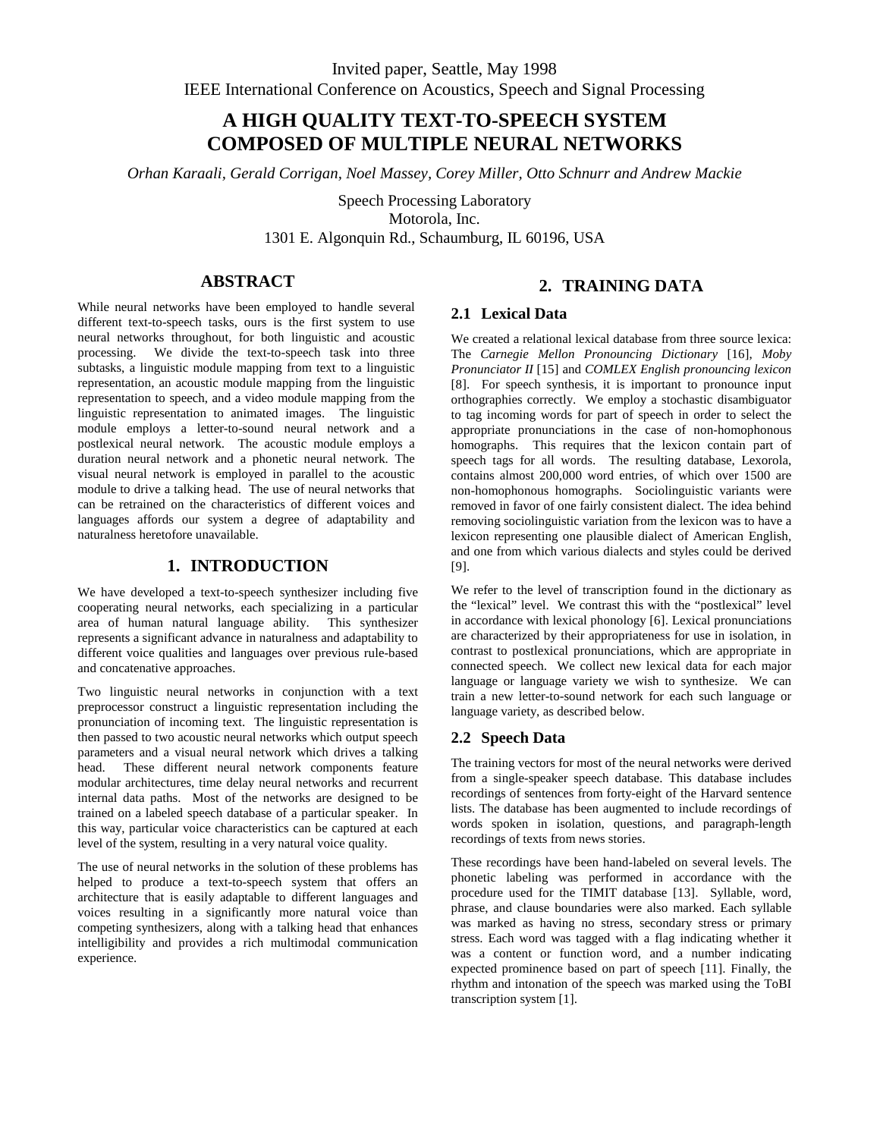# **A HIGH QUALITY TEXT-TO-SPEECH SYSTEM COMPOSED OF MULTIPLE NEURAL NETWORKS**

*Orhan Karaali, Gerald Corrigan, Noel Massey, Corey Miller, Otto Schnurr and Andrew Mackie*

Speech Processing Laboratory Motorola, Inc. 1301 E. Algonquin Rd., Schaumburg, IL 60196, USA

# **ABSTRACT**

# **2. TRAINING DATA**

While neural networks have been employed to handle several different text-to-speech tasks, ours is the first system to use neural networks throughout, for both linguistic and acoustic processing. We divide the text-to-speech task into three subtasks, a linguistic module mapping from text to a linguistic representation, an acoustic module mapping from the linguistic representation to speech, and a video module mapping from the linguistic representation to animated images. The linguistic module employs a letter-to-sound neural network and a postlexical neural network. The acoustic module employs a duration neural network and a phonetic neural network. The visual neural network is employed in parallel to the acoustic module to drive a talking head. The use of neural networks that can be retrained on the characteristics of different voices and languages affords our system a degree of adaptability and naturalness heretofore unavailable.

# **1. INTRODUCTION**

We have developed a text-to-speech synthesizer including five cooperating neural networks, each specializing in a particular area of human natural language ability. This synthesizer represents a significant advance in naturalness and adaptability to different voice qualities and languages over previous rule-based and concatenative approaches.

Two linguistic neural networks in conjunction with a text preprocessor construct a linguistic representation including the pronunciation of incoming text. The linguistic representation is then passed to two acoustic neural networks which output speech parameters and a visual neural network which drives a talking head. These different neural network components feature modular architectures, time delay neural networks and recurrent internal data paths. Most of the networks are designed to be trained on a labeled speech database of a particular speaker. In this way, particular voice characteristics can be captured at each level of the system, resulting in a very natural voice quality.

The use of neural networks in the solution of these problems has helped to produce a text-to-speech system that offers an architecture that is easily adaptable to different languages and voices resulting in a significantly more natural voice than competing synthesizers, along with a talking head that enhances intelligibility and provides a rich multimodal communication experience.

#### **2.1 Lexical Data**

We created a relational lexical database from three source lexica: The *Carnegie Mellon Pronouncing Dictionary* [16], *Moby Pronunciator II* [15] and *COMLEX English pronouncing lexicon* [8]. For speech synthesis, it is important to pronounce input orthographies correctly. We employ a stochastic disambiguator to tag incoming words for part of speech in order to select the appropriate pronunciations in the case of non-homophonous homographs. This requires that the lexicon contain part of speech tags for all words. The resulting database, Lexorola, contains almost 200,000 word entries, of which over 1500 are non-homophonous homographs. Sociolinguistic variants were removed in favor of one fairly consistent dialect. The idea behind removing sociolinguistic variation from the lexicon was to have a lexicon representing one plausible dialect of American English, and one from which various dialects and styles could be derived [9].

We refer to the level of transcription found in the dictionary as the "lexical" level. We contrast this with the "postlexical" level in accordance with lexical phonology [6]. Lexical pronunciations are characterized by their appropriateness for use in isolation, in contrast to postlexical pronunciations, which are appropriate in connected speech. We collect new lexical data for each major language or language variety we wish to synthesize. We can train a new letter-to-sound network for each such language or language variety, as described below.

#### **2.2 Speech Data**

The training vectors for most of the neural networks were derived from a single-speaker speech database. This database includes recordings of sentences from forty-eight of the Harvard sentence lists. The database has been augmented to include recordings of words spoken in isolation, questions, and paragraph-length recordings of texts from news stories.

These recordings have been hand-labeled on several levels. The phonetic labeling was performed in accordance with the procedure used for the TIMIT database [13]. Syllable, word, phrase, and clause boundaries were also marked. Each syllable was marked as having no stress, secondary stress or primary stress. Each word was tagged with a flag indicating whether it was a content or function word, and a number indicating expected prominence based on part of speech [11]. Finally, the rhythm and intonation of the speech was marked using the ToBI transcription system [1].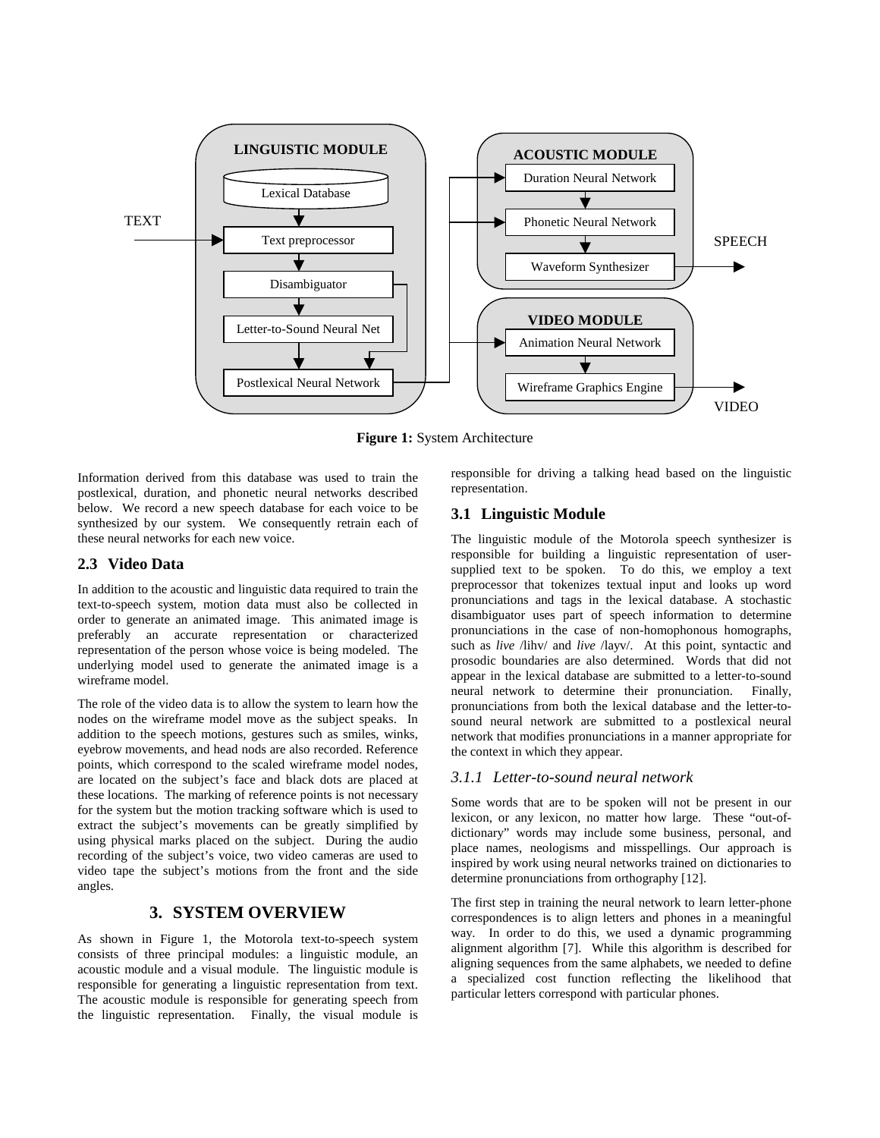

**Figure 1:** System Architecture

Information derived from this database was used to train the postlexical, duration, and phonetic neural networks described below. We record a new speech database for each voice to be synthesized by our system. We consequently retrain each of these neural networks for each new voice.

## **2.3 Video Data**

In addition to the acoustic and linguistic data required to train the text-to-speech system, motion data must also be collected in order to generate an animated image. This animated image is preferably an accurate representation or characterized representation of the person whose voice is being modeled. The underlying model used to generate the animated image is a wireframe model.

The role of the video data is to allow the system to learn how the nodes on the wireframe model move as the subject speaks. In addition to the speech motions, gestures such as smiles, winks, eyebrow movements, and head nods are also recorded. Reference points, which correspond to the scaled wireframe model nodes, are located on the subject's face and black dots are placed at these locations. The marking of reference points is not necessary for the system but the motion tracking software which is used to extract the subject's movements can be greatly simplified by using physical marks placed on the subject. During the audio recording of the subject's voice, two video cameras are used to video tape the subject's motions from the front and the side angles.

# **3. SYSTEM OVERVIEW**

As shown in Figure 1, the Motorola text-to-speech system consists of three principal modules: a linguistic module, an acoustic module and a visual module. The linguistic module is responsible for generating a linguistic representation from text. The acoustic module is responsible for generating speech from the linguistic representation. Finally, the visual module is

responsible for driving a talking head based on the linguistic representation.

# **3.1 Linguistic Module**

The linguistic module of the Motorola speech synthesizer is responsible for building a linguistic representation of usersupplied text to be spoken. To do this, we employ a text preprocessor that tokenizes textual input and looks up word pronunciations and tags in the lexical database. A stochastic disambiguator uses part of speech information to determine pronunciations in the case of non-homophonous homographs, such as *live* /lihv/ and *live* /layv/. At this point, syntactic and prosodic boundaries are also determined. Words that did not appear in the lexical database are submitted to a letter-to-sound neural network to determine their pronunciation. Finally, pronunciations from both the lexical database and the letter-tosound neural network are submitted to a postlexical neural network that modifies pronunciations in a manner appropriate for the context in which they appear.

#### *3.1.1 Letter-to-sound neural network*

Some words that are to be spoken will not be present in our lexicon, or any lexicon, no matter how large. These "out-ofdictionary" words may include some business, personal, and place names, neologisms and misspellings. Our approach is inspired by work using neural networks trained on dictionaries to determine pronunciations from orthography [12].

The first step in training the neural network to learn letter-phone correspondences is to align letters and phones in a meaningful way. In order to do this, we used a dynamic programming alignment algorithm [7]. While this algorithm is described for aligning sequences from the same alphabets, we needed to define a specialized cost function reflecting the likelihood that particular letters correspond with particular phones.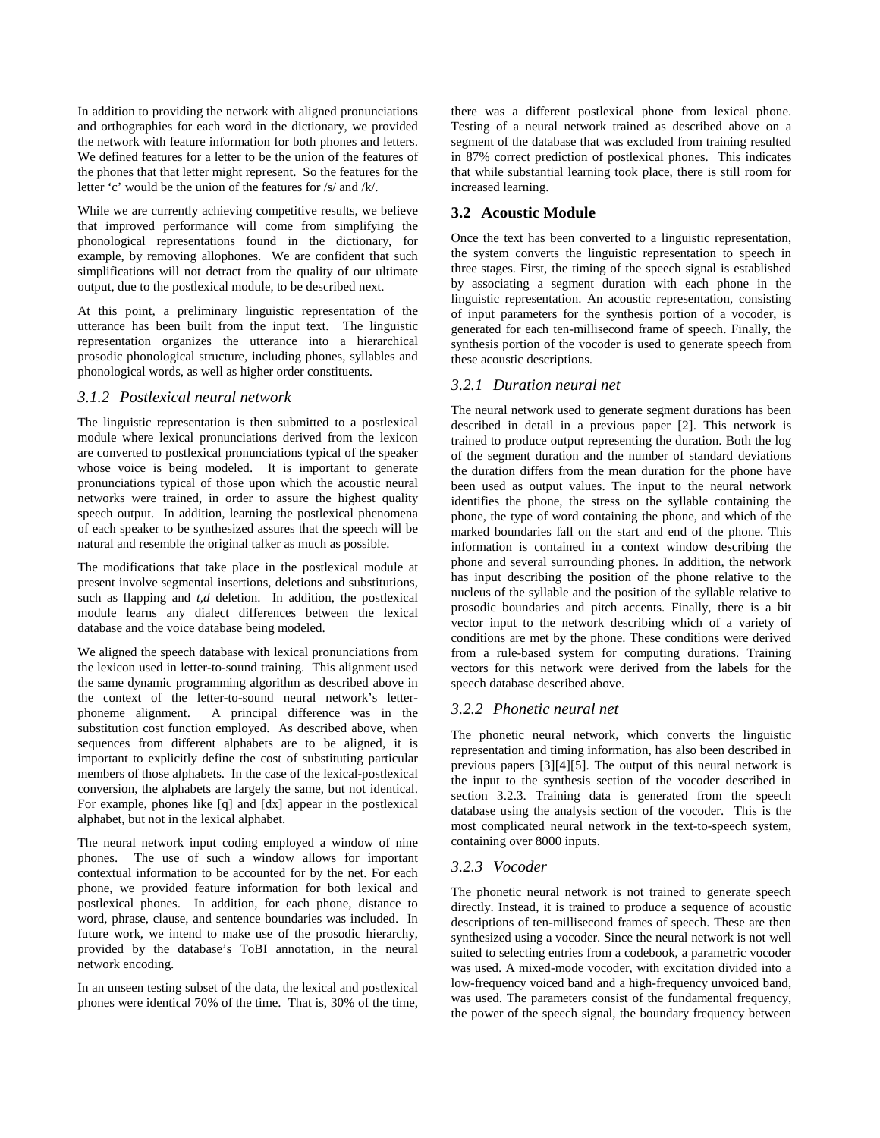In addition to providing the network with aligned pronunciations and orthographies for each word in the dictionary, we provided the network with feature information for both phones and letters. We defined features for a letter to be the union of the features of the phones that that letter might represent. So the features for the letter 'c' would be the union of the features for /s/ and /k/.

While we are currently achieving competitive results, we believe that improved performance will come from simplifying the phonological representations found in the dictionary, for example, by removing allophones. We are confident that such simplifications will not detract from the quality of our ultimate output, due to the postlexical module, to be described next.

At this point, a preliminary linguistic representation of the utterance has been built from the input text. The linguistic representation organizes the utterance into a hierarchical prosodic phonological structure, including phones, syllables and phonological words, as well as higher order constituents.

#### *3.1.2 Postlexical neural network*

The linguistic representation is then submitted to a postlexical module where lexical pronunciations derived from the lexicon are converted to postlexical pronunciations typical of the speaker whose voice is being modeled. It is important to generate pronunciations typical of those upon which the acoustic neural networks were trained, in order to assure the highest quality speech output. In addition, learning the postlexical phenomena of each speaker to be synthesized assures that the speech will be natural and resemble the original talker as much as possible.

The modifications that take place in the postlexical module at present involve segmental insertions, deletions and substitutions, such as flapping and *t,d* deletion. In addition, the postlexical module learns any dialect differences between the lexical database and the voice database being modeled.

We aligned the speech database with lexical pronunciations from the lexicon used in letter-to-sound training. This alignment used the same dynamic programming algorithm as described above in the context of the letter-to-sound neural network's letterphoneme alignment. A principal difference was in the substitution cost function employed. As described above, when sequences from different alphabets are to be aligned, it is important to explicitly define the cost of substituting particular members of those alphabets. In the case of the lexical-postlexical conversion, the alphabets are largely the same, but not identical. For example, phones like [q] and [dx] appear in the postlexical alphabet, but not in the lexical alphabet.

The neural network input coding employed a window of nine phones. The use of such a window allows for important contextual information to be accounted for by the net. For each phone, we provided feature information for both lexical and postlexical phones. In addition, for each phone, distance to word, phrase, clause, and sentence boundaries was included. In future work, we intend to make use of the prosodic hierarchy, provided by the database's ToBI annotation, in the neural network encoding.

In an unseen testing subset of the data, the lexical and postlexical phones were identical 70% of the time. That is, 30% of the time, there was a different postlexical phone from lexical phone. Testing of a neural network trained as described above on a segment of the database that was excluded from training resulted in 87% correct prediction of postlexical phones. This indicates that while substantial learning took place, there is still room for increased learning.

# **3.2 Acoustic Module**

Once the text has been converted to a linguistic representation, the system converts the linguistic representation to speech in three stages. First, the timing of the speech signal is established by associating a segment duration with each phone in the linguistic representation. An acoustic representation, consisting of input parameters for the synthesis portion of a vocoder, is generated for each ten-millisecond frame of speech. Finally, the synthesis portion of the vocoder is used to generate speech from these acoustic descriptions.

#### *3.2.1 Duration neural net*

The neural network used to generate segment durations has been described in detail in a previous paper [2]. This network is trained to produce output representing the duration. Both the log of the segment duration and the number of standard deviations the duration differs from the mean duration for the phone have been used as output values. The input to the neural network identifies the phone, the stress on the syllable containing the phone, the type of word containing the phone, and which of the marked boundaries fall on the start and end of the phone. This information is contained in a context window describing the phone and several surrounding phones. In addition, the network has input describing the position of the phone relative to the nucleus of the syllable and the position of the syllable relative to prosodic boundaries and pitch accents. Finally, there is a bit vector input to the network describing which of a variety of conditions are met by the phone. These conditions were derived from a rule-based system for computing durations. Training vectors for this network were derived from the labels for the speech database described above.

## *3.2.2 Phonetic neural net*

The phonetic neural network, which converts the linguistic representation and timing information, has also been described in previous papers [3][4][5]. The output of this neural network is the input to the synthesis section of the vocoder described in section 3.2.3. Training data is generated from the speech database using the analysis section of the vocoder. This is the most complicated neural network in the text-to-speech system, containing over 8000 inputs.

#### *3.2.3 Vocoder*

The phonetic neural network is not trained to generate speech directly. Instead, it is trained to produce a sequence of acoustic descriptions of ten-millisecond frames of speech. These are then synthesized using a vocoder. Since the neural network is not well suited to selecting entries from a codebook, a parametric vocoder was used. A mixed-mode vocoder, with excitation divided into a low-frequency voiced band and a high-frequency unvoiced band, was used. The parameters consist of the fundamental frequency, the power of the speech signal, the boundary frequency between